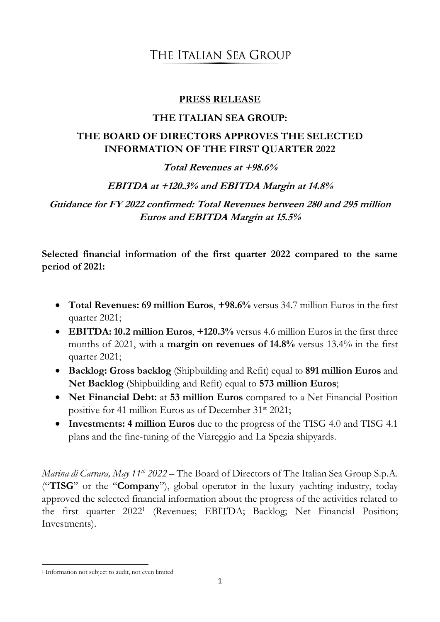### **PRESS RELEASE**

### **THE ITALIAN SEA GROUP:**

# **THE BOARD OF DIRECTORS APPROVES THE SELECTED INFORMATION OF THE FIRST QUARTER 2022**

### **Total Revenues at +98.6%**

## **EBITDA at +120.3% and EBITDA Margin at 14.8%**

**Guidance for FY 2022 confirmed: Total Revenues between 280 and 295 million Euros and EBITDA Margin at 15.5%**

**Selected financial information of the first quarter 2022 compared to the same period of 2021:** 

- **Total Revenues: 69 million Euros**, **+98.6%** versus 34.7 million Euros in the first quarter 2021;
- **EBITDA: 10.2 million Euros**, **+120.3%** versus 4.6 million Euros in the first three months of 2021, with a **margin on revenues of 14.8%** versus 13.4% in the first quarter 2021;
- **Backlog: Gross backlog** (Shipbuilding and Refit) equal to **891 million Euros** and **Net Backlog** (Shipbuilding and Refit) equal to **573 million Euros**;
- **Net Financial Debt:** at **53 million Euros** compared to a Net Financial Position positive for 41 million Euros as of December 31<sup>st</sup> 2021;
- **Investments: 4 million Euros** due to the progress of the TISG 4.0 and TISG 4.1 plans and the fine-tuning of the Viareggio and La Spezia shipyards.

*Marina di Carrara, May 11th 2022* – The Board of Directors of The Italian Sea Group S.p.A. ("**TISG**" or the "**Company**"), global operator in the luxury yachting industry, today approved the selected financial information about the progress of the activities related to the first quarter 2022<sup>1</sup> (Revenues; EBITDA; Backlog; Net Financial Position; Investments).

**<sup>.</sup>** <sup>1</sup> Information not subject to audit, not even limited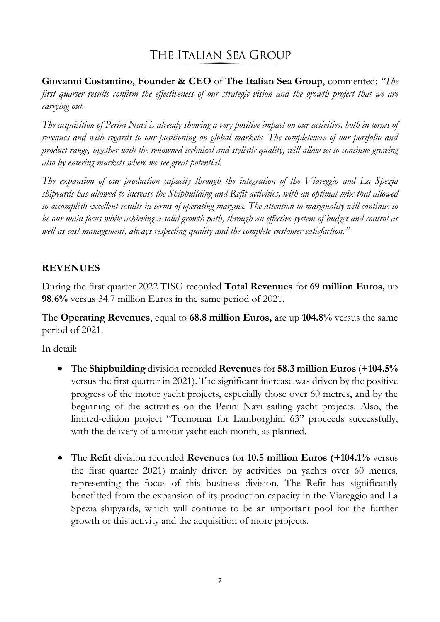**Giovanni Costantino, Founder & CEO** of **The Italian Sea Group**, commented: *"The first quarter results confirm the effectiveness of our strategic vision and the growth project that we are carrying out.* 

*The acquisition of Perini Navi is already showing a very positive impact on our activities, both in terms of revenues and with regards to our positioning on global markets. The completeness of our portfolio and product range, together with the renowned technical and stylistic quality, will allow us to continue growing also by entering markets where we see great potential.*

*The expansion of our production capacity through the integration of the Viareggio and La Spezia shipyards has allowed to increase the Shipbuilding and Refit activities, with an optimal mix that allowed to accomplish excellent results in terms of operating margins. The attention to marginality will continue to be our main focus while achieving a solid growth path, through an effective system of budget and control as well as cost management, always respecting quality and the complete customer satisfaction."*

# **REVENUES**

During the first quarter 2022 TISG recorded **Total Revenues** for **69 million Euros,** up **98.6%** versus 34.7 million Euros in the same period of 2021.

The **Operating Revenues**, equal to **68.8 million Euros,** are up **104.8%** versus the same period of 2021.

In detail:

- The **Shipbuilding** division recorded **Revenues** for **58.3 million Euros** (**+104.5%** versus the first quarter in 2021). The significant increase was driven by the positive progress of the motor yacht projects, especially those over 60 metres, and by the beginning of the activities on the Perini Navi sailing yacht projects. Also, the limited-edition project "Tecnomar for Lamborghini 63" proceeds successfully, with the delivery of a motor yacht each month, as planned.
- The **Refit** division recorded **Revenues** for **10.5 million Euros (+104.1%** versus the first quarter 2021) mainly driven by activities on yachts over 60 metres, representing the focus of this business division. The Refit has significantly benefitted from the expansion of its production capacity in the Viareggio and La Spezia shipyards, which will continue to be an important pool for the further growth or this activity and the acquisition of more projects.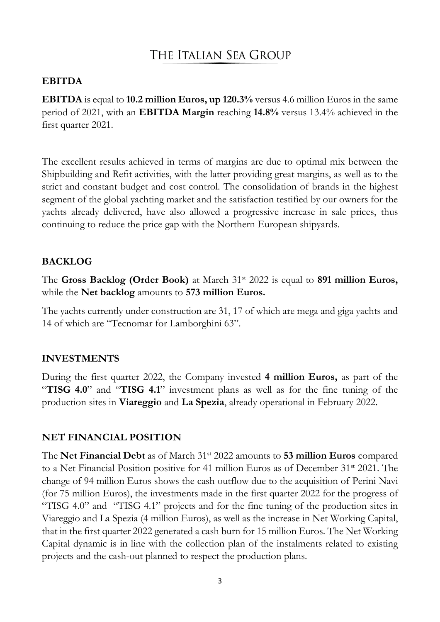#### **EBITDA**

**EBITDA** is equal to **10.2 million Euros, up 120.3%** versus 4.6 million Euros in the same period of 2021, with an **EBITDA Margin** reaching **14.8%** versus 13.4% achieved in the first quarter 2021.

The excellent results achieved in terms of margins are due to optimal mix between the Shipbuilding and Refit activities, with the latter providing great margins, as well as to the strict and constant budget and cost control. The consolidation of brands in the highest segment of the global yachting market and the satisfaction testified by our owners for the yachts already delivered, have also allowed a progressive increase in sale prices, thus continuing to reduce the price gap with the Northern European shipyards.

#### **BACKLOG**

The **Gross Backlog (Order Book)** at March 31st 2022 is equal to **891 million Euros,**  while the **Net backlog** amounts to **573 million Euros.** 

The yachts currently under construction are 31, 17 of which are mega and giga yachts and 14 of which are "Tecnomar for Lamborghini 63".

### **INVESTMENTS**

During the first quarter 2022, the Company invested **4 million Euros,** as part of the "**TISG 4.0**" and "**TISG 4.1**" investment plans as well as for the fine tuning of the production sites in **Viareggio** and **La Spezia**, already operational in February 2022.

### **NET FINANCIAL POSITION**

The **Net Financial Debt** as of March 31st 2022 amounts to **53 million Euros** compared to a Net Financial Position positive for 41 million Euros as of December 31st 2021. The change of 94 million Euros shows the cash outflow due to the acquisition of Perini Navi (for 75 million Euros), the investments made in the first quarter 2022 for the progress of "TISG 4.0" and "TISG 4.1" projects and for the fine tuning of the production sites in Viareggio and La Spezia (4 million Euros), as well as the increase in Net Working Capital, that in the first quarter 2022 generated a cash burn for 15 million Euros. The Net Working Capital dynamic is in line with the collection plan of the instalments related to existing projects and the cash-out planned to respect the production plans.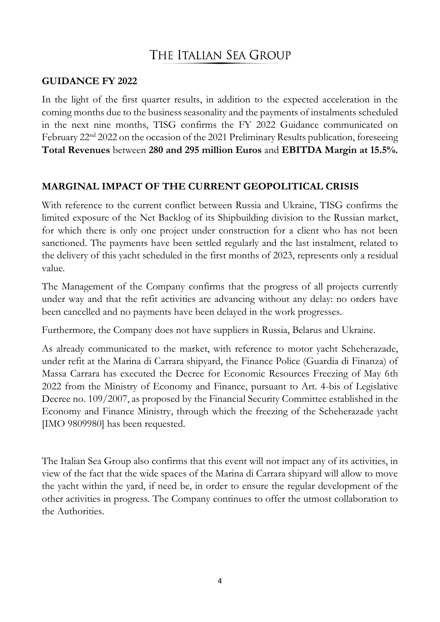### **GUIDANCE FY 2022**

In the light of the first quarter results, in addition to the expected acceleration in the coming months due to the business seasonality and the payments of instalments scheduled in the next nine months, TISG confirms the FY 2022 Guidance communicated on February 22nd 2022 on the occasion of the 2021 Preliminary Results publication, foreseeing **Total Revenues** between **280 and 295 million Euros** and **EBITDA Margin at 15.5%.**

## **MARGINAL IMPACT OF THE CURRENT GEOPOLITICAL CRISIS**

With reference to the current conflict between Russia and Ukraine, TISG confirms the limited exposure of the Net Backlog of its Shipbuilding division to the Russian market, for which there is only one project under construction for a client who has not been sanctioned. The payments have been settled regularly and the last instalment, related to the delivery of this yacht scheduled in the first months of 2023, represents only a residual value.

The Management of the Company confirms that the progress of all projects currently under way and that the refit activities are advancing without any delay: no orders have been cancelled and no payments have been delayed in the work progresses.

Furthermore, the Company does not have suppliers in Russia, Belarus and Ukraine.

As already communicated to the market, with reference to motor yacht Scheherazade, under refit at the Marina di Carrara shipyard, the Finance Police (Guardia di Finanza) of Massa Carrara has executed the Decree for Economic Resources Freezing of May 6th 2022 from the Ministry of Economy and Finance, pursuant to Art. 4-bis of Legislative Decree no. 109/2007, as proposed by the Financial Security Committee established in the Economy and Finance Ministry, through which the freezing of the Scheherazade yacht [IMO 9809980] has been requested.

The Italian Sea Group also confirms that this event will not impact any of its activities, in view of the fact that the wide spaces of the Marina di Carrara shipyard will allow to move the yacht within the yard, if need be, in order to ensure the regular development of the other activities in progress. The Company continues to offer the utmost collaboration to the Authorities.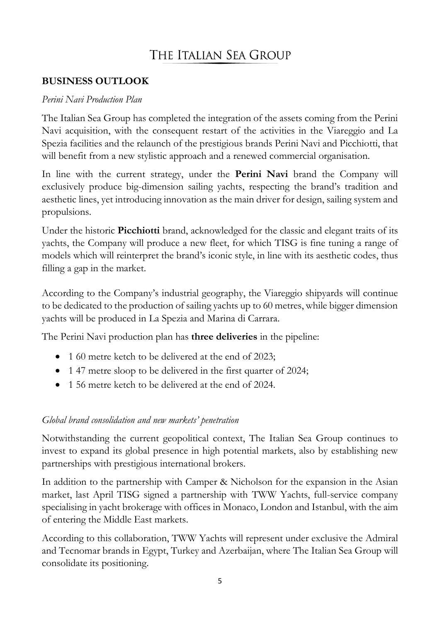## **BUSINESS OUTLOOK**

### *Perini Navi Production Plan*

The Italian Sea Group has completed the integration of the assets coming from the Perini Navi acquisition, with the consequent restart of the activities in the Viareggio and La Spezia facilities and the relaunch of the prestigious brands Perini Navi and Picchiotti, that will benefit from a new stylistic approach and a renewed commercial organisation.

In line with the current strategy, under the **Perini Navi** brand the Company will exclusively produce big-dimension sailing yachts, respecting the brand's tradition and aesthetic lines, yet introducing innovation as the main driver for design, sailing system and propulsions.

Under the historic **Picchiotti** brand, acknowledged for the classic and elegant traits of its yachts, the Company will produce a new fleet, for which TISG is fine tuning a range of models which will reinterpret the brand's iconic style, in line with its aesthetic codes, thus filling a gap in the market.

According to the Company's industrial geography, the Viareggio shipyards will continue to be dedicated to the production of sailing yachts up to 60 metres, while bigger dimension yachts will be produced in La Spezia and Marina di Carrara.

The Perini Navi production plan has **three deliveries** in the pipeline:

- 1 60 metre ketch to be delivered at the end of 2023;
- 1 47 metre sloop to be delivered in the first quarter of 2024;
- 1.56 metre ketch to be delivered at the end of 2024.

## *Global brand consolidation and new markets' penetration*

Notwithstanding the current geopolitical context, The Italian Sea Group continues to invest to expand its global presence in high potential markets, also by establishing new partnerships with prestigious international brokers.

In addition to the partnership with Camper & Nicholson for the expansion in the Asian market, last April TISG signed a partnership with TWW Yachts, full-service company specialising in yacht brokerage with offices in Monaco, London and Istanbul, with the aim of entering the Middle East markets.

According to this collaboration, TWW Yachts will represent under exclusive the Admiral and Tecnomar brands in Egypt, Turkey and Azerbaijan, where The Italian Sea Group will consolidate its positioning.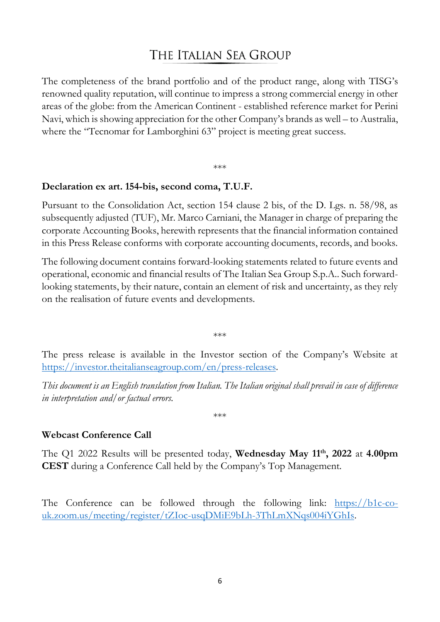The completeness of the brand portfolio and of the product range, along with TISG's renowned quality reputation, will continue to impress a strong commercial energy in other areas of the globe: from the American Continent - established reference market for Perini Navi, which is showing appreciation for the other Company's brands as well – to Australia, where the "Tecnomar for Lamborghini 63" project is meeting great success.

# \*\*\*

### **Declaration ex art. 154-bis, second coma, T.U.F.**

Pursuant to the Consolidation Act, section 154 clause 2 bis, of the D. Lgs. n. 58/98, as subsequently adjusted (TUF), Mr. Marco Carniani, the Manager in charge of preparing the corporate Accounting Books, herewith represents that the financial information contained in this Press Release conforms with corporate accounting documents, records, and books.

The following document contains forward-looking statements related to future events and operational, economic and financial results of The Italian Sea Group S.p.A.. Such forwardlooking statements, by their nature, contain an element of risk and uncertainty, as they rely on the realisation of future events and developments.

\*\*\*

The press release is available in the Investor section of the Company's Website at [https://investor.theitalianseagroup.com/en/press-releases.](https://investor.theitalianseagroup.com/en/press-releases)

*This document is an English translation from Italian. The Italian original shall prevail in case of difference in interpretation and/or factual errors.*

\*\*\*

## **Webcast Conference Call**

The Q1 2022 Results will be presented today, **Wednesday May 11th, 2022** at **4.00pm CEST** during a Conference Call held by the Company's Top Management.

The Conference can be followed through the following link: [https://b1c-co](https://b1c-co-uk.zoom.us/meeting/register/tZIoc-usqDMiE9bLh-3ThLmXNqs004iYGhIs)[uk.zoom.us/meeting/register/tZIoc-usqDMiE9bLh-3ThLmXNqs004iYGhIs.](https://b1c-co-uk.zoom.us/meeting/register/tZIoc-usqDMiE9bLh-3ThLmXNqs004iYGhIs)